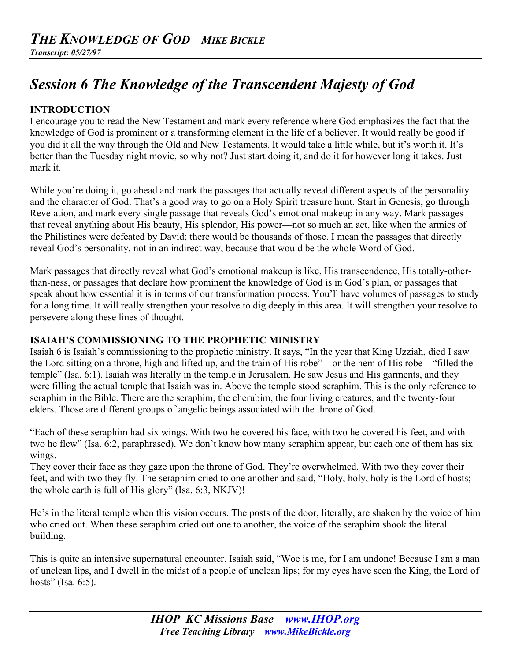# *Session 6 The Knowledge of the Transcendent Majesty of God*

## **INTRODUCTION**

I encourage you to read the New Testament and mark every reference where God emphasizes the fact that the knowledge of God is prominent or a transforming element in the life of a believer. It would really be good if you did it all the way through the Old and New Testaments. It would take a little while, but it's worth it. It's better than the Tuesday night movie, so why not? Just start doing it, and do it for however long it takes. Just mark it.

While you're doing it, go ahead and mark the passages that actually reveal different aspects of the personality and the character of God. That's a good way to go on a Holy Spirit treasure hunt. Start in Genesis, go through Revelation, and mark every single passage that reveals God's emotional makeup in any way. Mark passages that reveal anything about His beauty, His splendor, His power—not so much an act, like when the armies of the Philistines were defeated by David; there would be thousands of those. I mean the passages that directly reveal God's personality, not in an indirect way, because that would be the whole Word of God.

Mark passages that directly reveal what God's emotional makeup is like, His transcendence, His totally-otherthan-ness, or passages that declare how prominent the knowledge of God is in God's plan, or passages that speak about how essential it is in terms of our transformation process. You'll have volumes of passages to study for a long time. It will really strengthen your resolve to dig deeply in this area. It will strengthen your resolve to persevere along these lines of thought.

#### **ISAIAH'S COMMISSIONING TO THE PROPHETIC MINISTRY**

Isaiah 6 is Isaiah's commissioning to the prophetic ministry. It says, "In the year that King Uzziah, died I saw the Lord sitting on a throne, high and lifted up, and the train of His robe"—or the hem of His robe—"filled the temple" (Isa. 6:1). Isaiah was literally in the temple in Jerusalem. He saw Jesus and His garments, and they were filling the actual temple that Isaiah was in. Above the temple stood seraphim. This is the only reference to seraphim in the Bible. There are the seraphim, the cherubim, the four living creatures, and the twenty-four elders. Those are different groups of angelic beings associated with the throne of God.

"Each of these seraphim had six wings. With two he covered his face, with two he covered his feet, and with two he flew" (Isa. 6:2, paraphrased). We don't know how many seraphim appear, but each one of them has six wings.

They cover their face as they gaze upon the throne of God. They're overwhelmed. With two they cover their feet, and with two they fly. The seraphim cried to one another and said, "Holy, holy, holy is the Lord of hosts; the whole earth is full of His glory" (Isa. 6:3, NKJV)!

He's in the literal temple when this vision occurs. The posts of the door, literally, are shaken by the voice of him who cried out. When these seraphim cried out one to another, the voice of the seraphim shook the literal building.

This is quite an intensive supernatural encounter. Isaiah said, "Woe is me, for I am undone! Because I am a man of unclean lips, and I dwell in the midst of a people of unclean lips; for my eyes have seen the King, the Lord of hosts" (Isa. 6:5).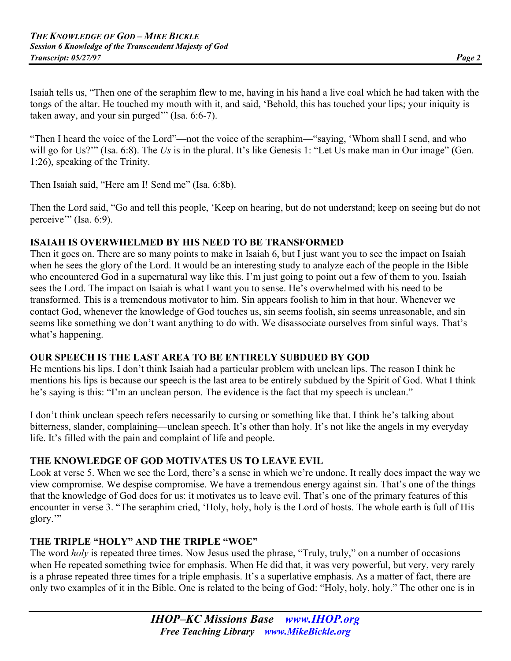Isaiah tells us, "Then one of the seraphim flew to me, having in his hand a live coal which he had taken with the tongs of the altar. He touched my mouth with it, and said, 'Behold, this has touched your lips; your iniquity is taken away, and your sin purged'" (Isa. 6:6-7).

"Then I heard the voice of the Lord"—not the voice of the seraphim—"saying, 'Whom shall I send, and who will go for Us?'" (Isa. 6:8). The *Us* is in the plural. It's like Genesis 1: "Let Us make man in Our image" (Gen. 1:26), speaking of the Trinity.

Then Isaiah said, "Here am I! Send me" (Isa. 6:8b).

Then the Lord said, "Go and tell this people, 'Keep on hearing, but do not understand; keep on seeing but do not perceive"" (Isa. 6:9).

#### **ISAIAH IS OVERWHELMED BY HIS NEED TO BE TRANSFORMED**

Then it goes on. There are so many points to make in Isaiah 6, but I just want you to see the impact on Isaiah when he sees the glory of the Lord. It would be an interesting study to analyze each of the people in the Bible who encountered God in a supernatural way like this. I'm just going to point out a few of them to you. Isaiah sees the Lord. The impact on Isaiah is what I want you to sense. He's overwhelmed with his need to be transformed. This is a tremendous motivator to him. Sin appears foolish to him in that hour. Whenever we contact God, whenever the knowledge of God touches us, sin seems foolish, sin seems unreasonable, and sin seems like something we don't want anything to do with. We disassociate ourselves from sinful ways. That's what's happening.

#### **OUR SPEECH IS THE LAST AREA TO BE ENTIRELY SUBDUED BY GOD**

He mentions his lips. I don't think Isaiah had a particular problem with unclean lips. The reason I think he mentions his lips is because our speech is the last area to be entirely subdued by the Spirit of God. What I think he's saying is this: "I'm an unclean person. The evidence is the fact that my speech is unclean."

I don't think unclean speech refers necessarily to cursing or something like that. I think he's talking about bitterness, slander, complaining—unclean speech. It's other than holy. It's not like the angels in my everyday life. It's filled with the pain and complaint of life and people.

#### **THE KNOWLEDGE OF GOD MOTIVATES US TO LEAVE EVIL**

Look at verse 5. When we see the Lord, there's a sense in which we're undone. It really does impact the way we view compromise. We despise compromise. We have a tremendous energy against sin. That's one of the things that the knowledge of God does for us: it motivates us to leave evil. That's one of the primary features of this encounter in verse 3. "The seraphim cried, 'Holy, holy, holy is the Lord of hosts. The whole earth is full of His glory.'"

#### **THE TRIPLE "HOLY" AND THE TRIPLE "WOE"**

The word *holy* is repeated three times. Now Jesus used the phrase, "Truly, truly," on a number of occasions when He repeated something twice for emphasis. When He did that, it was very powerful, but very, very rarely is a phrase repeated three times for a triple emphasis. It's a superlative emphasis. As a matter of fact, there are only two examples of it in the Bible. One is related to the being of God: "Holy, holy, holy." The other one is in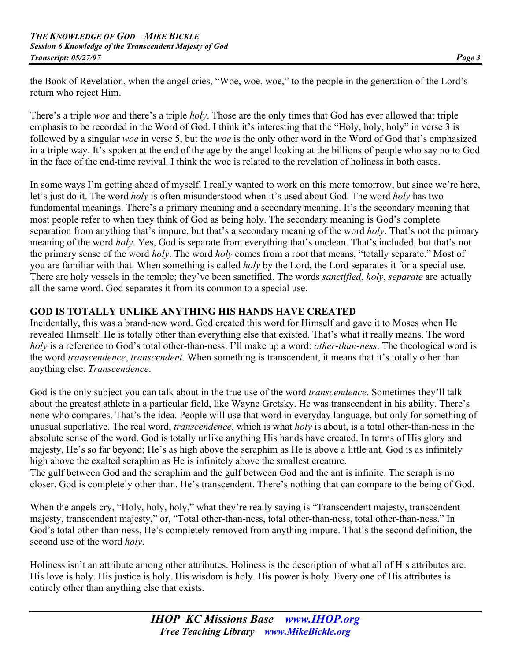the Book of Revelation, when the angel cries, "Woe, woe, woe," to the people in the generation of the Lord's return who reject Him.

There's a triple *woe* and there's a triple *holy*. Those are the only times that God has ever allowed that triple emphasis to be recorded in the Word of God. I think it's interesting that the "Holy, holy, holy" in verse 3 is followed by a singular *woe* in verse 5, but the *woe* is the only other word in the Word of God that's emphasized in a triple way. It's spoken at the end of the age by the angel looking at the billions of people who say no to God in the face of the end-time revival. I think the woe is related to the revelation of holiness in both cases.

In some ways I'm getting ahead of myself. I really wanted to work on this more tomorrow, but since we're here, let's just do it. The word *holy* is often misunderstood when it's used about God. The word *holy* has two fundamental meanings. There's a primary meaning and a secondary meaning. It's the secondary meaning that most people refer to when they think of God as being holy. The secondary meaning is God's complete separation from anything that's impure, but that's a secondary meaning of the word *holy*. That's not the primary meaning of the word *holy*. Yes, God is separate from everything that's unclean. That's included, but that's not the primary sense of the word *holy*. The word *holy* comes from a root that means, "totally separate." Most of you are familiar with that. When something is called *holy* by the Lord, the Lord separates it for a special use. There are holy vessels in the temple; they've been sanctified. The words *sanctified*, *holy*, *separate* are actually all the same word. God separates it from its common to a special use.

# **GOD IS TOTALLY UNLIKE ANYTHING HIS HANDS HAVE CREATED**

Incidentally, this was a brand-new word. God created this word for Himself and gave it to Moses when He revealed Himself. He is totally other than everything else that existed. That's what it really means. The word *holy* is a reference to God's total other-than-ness. I'll make up a word: *other*-*than*-*ness*. The theological word is the word *transcendence*, *transcendent*. When something is transcendent, it means that it's totally other than anything else. *Transcendence*.

God is the only subject you can talk about in the true use of the word *transcendence*. Sometimes they'll talk about the greatest athlete in a particular field, like Wayne Gretsky. He was transcendent in his ability. There's none who compares. That's the idea. People will use that word in everyday language, but only for something of unusual superlative. The real word, *transcendence*, which is what *holy* is about, is a total other-than-ness in the absolute sense of the word. God is totally unlike anything His hands have created. In terms of His glory and majesty, He's so far beyond; He's as high above the seraphim as He is above a little ant. God is as infinitely high above the exalted seraphim as He is infinitely above the smallest creature.

The gulf between God and the seraphim and the gulf between God and the ant is infinite. The seraph is no closer. God is completely other than. He's transcendent. There's nothing that can compare to the being of God.

When the angels cry, "Holy, holy, holy," what they're really saying is "Transcendent majesty, transcendent majesty, transcendent majesty," or, "Total other-than-ness, total other-than-ness, total other-than-ness." In God's total other-than-ness, He's completely removed from anything impure. That's the second definition, the second use of the word *holy*.

Holiness isn't an attribute among other attributes. Holiness is the description of what all of His attributes are. His love is holy. His justice is holy. His wisdom is holy. His power is holy. Every one of His attributes is entirely other than anything else that exists.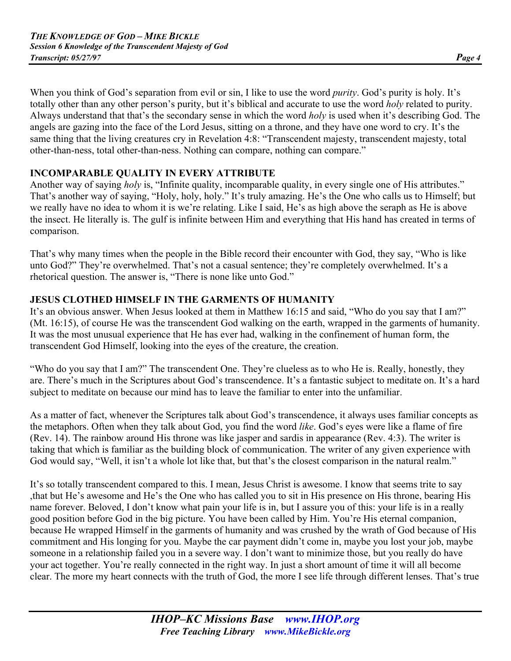When you think of God's separation from evil or sin, I like to use the word *purity*. God's purity is holy. It's totally other than any other person's purity, but it's biblical and accurate to use the word *holy* related to purity. Always understand that that's the secondary sense in which the word *holy* is used when it's describing God. The angels are gazing into the face of the Lord Jesus, sitting on a throne, and they have one word to cry. It's the same thing that the living creatures cry in Revelation 4:8: "Transcendent majesty, transcendent majesty, total other-than-ness, total other-than-ness. Nothing can compare, nothing can compare."

# **INCOMPARABLE QUALITY IN EVERY ATTRIBUTE**

Another way of saying *holy* is, "Infinite quality, incomparable quality, in every single one of His attributes." That's another way of saying, "Holy, holy, holy." It's truly amazing. He's the One who calls us to Himself; but we really have no idea to whom it is we're relating. Like I said, He's as high above the seraph as He is above the insect. He literally is. The gulf is infinite between Him and everything that His hand has created in terms of comparison.

That's why many times when the people in the Bible record their encounter with God, they say, "Who is like unto God?" They're overwhelmed. That's not a casual sentence; they're completely overwhelmed. It's a rhetorical question. The answer is, "There is none like unto God."

# **JESUS CLOTHED HIMSELF IN THE GARMENTS OF HUMANITY**

It's an obvious answer. When Jesus looked at them in Matthew 16:15 and said, "Who do you say that I am?" (Mt. 16:15), of course He was the transcendent God walking on the earth, wrapped in the garments of humanity. It was the most unusual experience that He has ever had, walking in the confinement of human form, the transcendent God Himself, looking into the eyes of the creature, the creation.

"Who do you say that I am?" The transcendent One. They're clueless as to who He is. Really, honestly, they are. There's much in the Scriptures about God's transcendence. It's a fantastic subject to meditate on. It's a hard subject to meditate on because our mind has to leave the familiar to enter into the unfamiliar.

As a matter of fact, whenever the Scriptures talk about God's transcendence, it always uses familiar concepts as the metaphors. Often when they talk about God, you find the word *like*. God's eyes were like a flame of fire (Rev. 14). The rainbow around His throne was like jasper and sardis in appearance (Rev. 4:3). The writer is taking that which is familiar as the building block of communication. The writer of any given experience with God would say, "Well, it isn't a whole lot like that, but that's the closest comparison in the natural realm."

It's so totally transcendent compared to this. I mean, Jesus Christ is awesome. I know that seems trite to say ,that but He's awesome and He's the One who has called you to sit in His presence on His throne, bearing His name forever. Beloved, I don't know what pain your life is in, but I assure you of this: your life is in a really good position before God in the big picture. You have been called by Him. You're His eternal companion, because He wrapped Himself in the garments of humanity and was crushed by the wrath of God because of His commitment and His longing for you. Maybe the car payment didn't come in, maybe you lost your job, maybe someone in a relationship failed you in a severe way. I don't want to minimize those, but you really do have your act together. You're really connected in the right way. In just a short amount of time it will all become clear. The more my heart connects with the truth of God, the more I see life through different lenses. That's true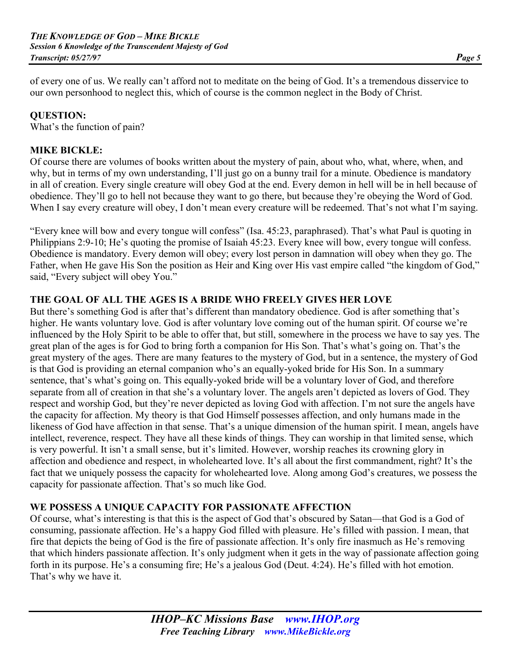of every one of us. We really can't afford not to meditate on the being of God. It's a tremendous disservice to our own personhood to neglect this, which of course is the common neglect in the Body of Christ.

#### **QUESTION:**

What's the function of pain?

#### **MIKE BICKLE:**

Of course there are volumes of books written about the mystery of pain, about who, what, where, when, and why, but in terms of my own understanding, I'll just go on a bunny trail for a minute. Obedience is mandatory in all of creation. Every single creature will obey God at the end. Every demon in hell will be in hell because of obedience. They'll go to hell not because they want to go there, but because they're obeying the Word of God. When I say every creature will obey, I don't mean every creature will be redeemed. That's not what I'm saying.

"Every knee will bow and every tongue will confess" (Isa. 45:23, paraphrased). That's what Paul is quoting in Philippians 2:9-10; He's quoting the promise of Isaiah 45:23. Every knee will bow, every tongue will confess. Obedience is mandatory. Every demon will obey; every lost person in damnation will obey when they go. The Father, when He gave His Son the position as Heir and King over His vast empire called "the kingdom of God," said, "Every subject will obey You."

#### **THE GOAL OF ALL THE AGES IS A BRIDE WHO FREELY GIVES HER LOVE**

But there's something God is after that's different than mandatory obedience. God is after something that's higher. He wants voluntary love. God is after voluntary love coming out of the human spirit. Of course we're influenced by the Holy Spirit to be able to offer that, but still, somewhere in the process we have to say yes. The great plan of the ages is for God to bring forth a companion for His Son. That's what's going on. That's the great mystery of the ages. There are many features to the mystery of God, but in a sentence, the mystery of God is that God is providing an eternal companion who's an equally-yoked bride for His Son. In a summary sentence, that's what's going on. This equally-yoked bride will be a voluntary lover of God, and therefore separate from all of creation in that she's a voluntary lover. The angels aren't depicted as lovers of God. They respect and worship God, but they're never depicted as loving God with affection. I'm not sure the angels have the capacity for affection. My theory is that God Himself possesses affection, and only humans made in the likeness of God have affection in that sense. That's a unique dimension of the human spirit. I mean, angels have intellect, reverence, respect. They have all these kinds of things. They can worship in that limited sense, which is very powerful. It isn't a small sense, but it's limited. However, worship reaches its crowning glory in affection and obedience and respect, in wholehearted love. It's all about the first commandment, right? It's the fact that we uniquely possess the capacity for wholehearted love. Along among God's creatures, we possess the capacity for passionate affection. That's so much like God.

#### **WE POSSESS A UNIQUE CAPACITY FOR PASSIONATE AFFECTION**

Of course, what's interesting is that this is the aspect of God that's obscured by Satan—that God is a God of consuming, passionate affection. He's a happy God filled with pleasure. He's filled with passion. I mean, that fire that depicts the being of God is the fire of passionate affection. It's only fire inasmuch as He's removing that which hinders passionate affection. It's only judgment when it gets in the way of passionate affection going forth in its purpose. He's a consuming fire; He's a jealous God (Deut. 4:24). He's filled with hot emotion. That's why we have it.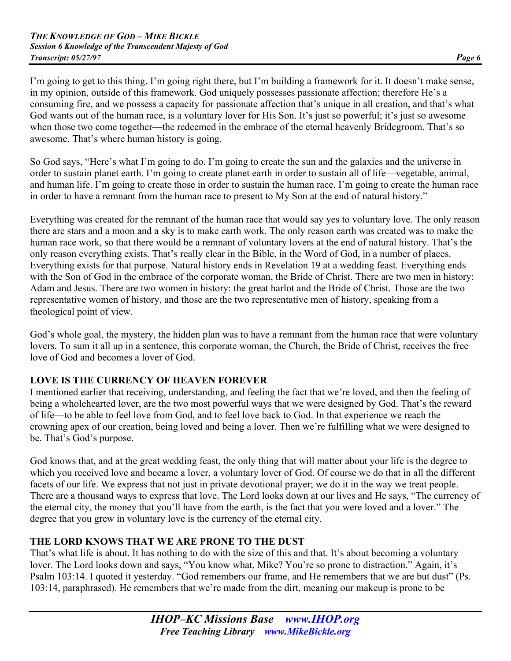I'm going to get to this thing. I'm going right there, but I'm building a framework for it. It doesn't make sense, in my opinion, outside of this framework. God uniquely possesses passionate affection; therefore He's a consuming fire, and we possess a capacity for passionate affection that's unique in all creation, and that's what God wants out of the human race, is a voluntary lover for His Son. It's just so powerful; it's just so awesome when those two come together—the redeemed in the embrace of the eternal heavenly Bridegroom. That's so awesome. That's where human history is going.

So God says, "Here's what I'm going to do. I'm going to create the sun and the galaxies and the universe in order to sustain planet earth. I'm going to create planet earth in order to sustain all of life—vegetable, animal, and human life. I'm going to create those in order to sustain the human race. I'm going to create the human race in order to have a remnant from the human race to present to My Son at the end of natural history."

Everything was created for the remnant of the human race that would say yes to voluntary love. The only reason there are stars and a moon and a sky is to make earth work. The only reason earth was created was to make the human race work, so that there would be a remnant of voluntary lovers at the end of natural history. That's the only reason everything exists. That's really clear in the Bible, in the Word of God, in a number of places. Everything exists for that purpose. Natural history ends in Revelation 19 at a wedding feast. Everything ends with the Son of God in the embrace of the corporate woman, the Bride of Christ. There are two men in history: Adam and Jesus. There are two women in history: the great harlot and the Bride of Christ. Those are the two representative women of history, and those are the two representative men of history, speaking from a theological point of view.

God's whole goal, the mystery, the hidden plan was to have a remnant from the human race that were voluntary lovers. To sum it all up in a sentence, this corporate woman, the Church, the Bride of Christ, receives the free love of God and becomes a lover of God.

# **LOVE IS THE CURRENCY OF HEAVEN FOREVER**

I mentioned earlier that receiving, understanding, and feeling the fact that we're loved, and then the feeling of being a wholehearted lover, are the two most powerful ways that we were designed by God. That's the reward of life—to be able to feel love from God, and to feel love back to God. In that experience we reach the crowning apex of our creation, being loved and being a lover. Then we're fulfilling what we were designed to be. That's God's purpose.

God knows that, and at the great wedding feast, the only thing that will matter about your life is the degree to which you received love and became a lover, a voluntary lover of God. Of course we do that in all the different facets of our life. We express that not just in private devotional prayer; we do it in the way we treat people. There are a thousand ways to express that love. The Lord looks down at our lives and He says, "The currency of the eternal city, the money that you'll have from the earth, is the fact that you were loved and a lover." The degree that you grew in voluntary love is the currency of the eternal city.

# **THE LORD KNOWS THAT WE ARE PRONE TO THE DUST**

That's what life is about. It has nothing to do with the size of this and that. It's about becoming a voluntary lover. The Lord looks down and says, "You know what, Mike? You're so prone to distraction." Again, it's Psalm 103:14. I quoted it yesterday. "God remembers our frame, and He remembers that we are but dust" (Ps. 103:14, paraphrased). He remembers that we're made from the dirt, meaning our makeup is prone to be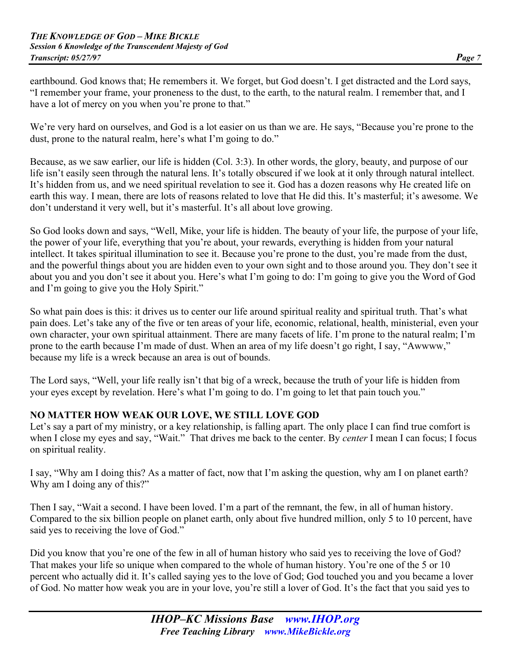earthbound. God knows that; He remembers it. We forget, but God doesn't. I get distracted and the Lord says, "I remember your frame, your proneness to the dust, to the earth, to the natural realm. I remember that, and I have a lot of mercy on you when you're prone to that."

We're very hard on ourselves, and God is a lot easier on us than we are. He says, "Because you're prone to the dust, prone to the natural realm, here's what I'm going to do."

Because, as we saw earlier, our life is hidden (Col. 3:3). In other words, the glory, beauty, and purpose of our life isn't easily seen through the natural lens. It's totally obscured if we look at it only through natural intellect. It's hidden from us, and we need spiritual revelation to see it. God has a dozen reasons why He created life on earth this way. I mean, there are lots of reasons related to love that He did this. It's masterful; it's awesome. We don't understand it very well, but it's masterful. It's all about love growing.

So God looks down and says, "Well, Mike, your life is hidden. The beauty of your life, the purpose of your life, the power of your life, everything that you're about, your rewards, everything is hidden from your natural intellect. It takes spiritual illumination to see it. Because you're prone to the dust, you're made from the dust, and the powerful things about you are hidden even to your own sight and to those around you. They don't see it about you and you don't see it about you. Here's what I'm going to do: I'm going to give you the Word of God and I'm going to give you the Holy Spirit."

So what pain does is this: it drives us to center our life around spiritual reality and spiritual truth. That's what pain does. Let's take any of the five or ten areas of your life, economic, relational, health, ministerial, even your own character, your own spiritual attainment. There are many facets of life. I'm prone to the natural realm; I'm prone to the earth because I'm made of dust. When an area of my life doesn't go right, I say, "Awwww," because my life is a wreck because an area is out of bounds.

The Lord says, "Well, your life really isn't that big of a wreck, because the truth of your life is hidden from your eyes except by revelation. Here's what I'm going to do. I'm going to let that pain touch you."

# **NO MATTER HOW WEAK OUR LOVE, WE STILL LOVE GOD**

Let's say a part of my ministry, or a key relationship, is falling apart. The only place I can find true comfort is when I close my eyes and say, "Wait." That drives me back to the center. By *center* I mean I can focus; I focus on spiritual reality.

I say, "Why am I doing this? As a matter of fact, now that I'm asking the question, why am I on planet earth? Why am I doing any of this?"

Then I say, "Wait a second. I have been loved. I'm a part of the remnant, the few, in all of human history. Compared to the six billion people on planet earth, only about five hundred million, only 5 to 10 percent, have said yes to receiving the love of God."

Did you know that you're one of the few in all of human history who said yes to receiving the love of God? That makes your life so unique when compared to the whole of human history. You're one of the 5 or 10 percent who actually did it. It's called saying yes to the love of God; God touched you and you became a lover of God. No matter how weak you are in your love, you're still a lover of God. It's the fact that you said yes to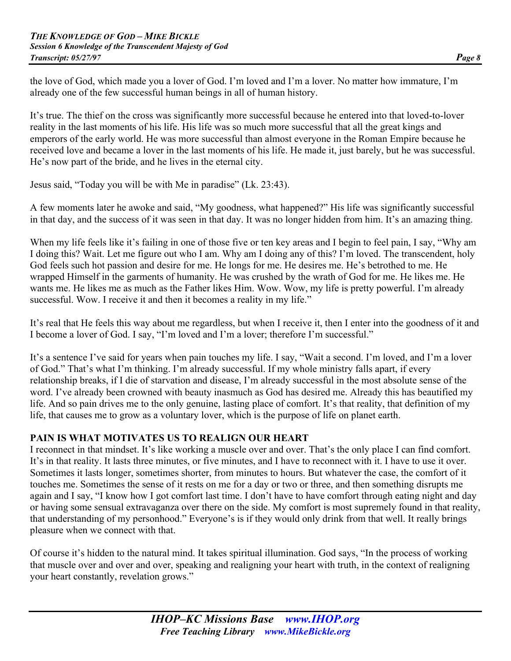the love of God, which made you a lover of God. I'm loved and I'm a lover. No matter how immature, I'm already one of the few successful human beings in all of human history.

It's true. The thief on the cross was significantly more successful because he entered into that loved-to-lover reality in the last moments of his life. His life was so much more successful that all the great kings and emperors of the early world. He was more successful than almost everyone in the Roman Empire because he received love and became a lover in the last moments of his life. He made it, just barely, but he was successful. He's now part of the bride, and he lives in the eternal city.

Jesus said, "Today you will be with Me in paradise" (Lk. 23:43).

A few moments later he awoke and said, "My goodness, what happened?" His life was significantly successful in that day, and the success of it was seen in that day. It was no longer hidden from him. It's an amazing thing.

When my life feels like it's failing in one of those five or ten key areas and I begin to feel pain, I say, "Why am I doing this? Wait. Let me figure out who I am. Why am I doing any of this? I'm loved. The transcendent, holy God feels such hot passion and desire for me. He longs for me. He desires me. He's betrothed to me. He wrapped Himself in the garments of humanity. He was crushed by the wrath of God for me. He likes me. He wants me. He likes me as much as the Father likes Him. Wow. Wow, my life is pretty powerful. I'm already successful. Wow. I receive it and then it becomes a reality in my life."

It's real that He feels this way about me regardless, but when I receive it, then I enter into the goodness of it and I become a lover of God. I say, "I'm loved and I'm a lover; therefore I'm successful."

It's a sentence I've said for years when pain touches my life. I say, "Wait a second. I'm loved, and I'm a lover of God." That's what I'm thinking. I'm already successful. If my whole ministry falls apart, if every relationship breaks, if I die of starvation and disease, I'm already successful in the most absolute sense of the word. I've already been crowned with beauty inasmuch as God has desired me. Already this has beautified my life. And so pain drives me to the only genuine, lasting place of comfort. It's that reality, that definition of my life, that causes me to grow as a voluntary lover, which is the purpose of life on planet earth.

#### **PAIN IS WHAT MOTIVATES US TO REALIGN OUR HEART**

I reconnect in that mindset. It's like working a muscle over and over. That's the only place I can find comfort. It's in that reality. It lasts three minutes, or five minutes, and I have to reconnect with it. I have to use it over. Sometimes it lasts longer, sometimes shorter, from minutes to hours. But whatever the case, the comfort of it touches me. Sometimes the sense of it rests on me for a day or two or three, and then something disrupts me again and I say, "I know how I got comfort last time. I don't have to have comfort through eating night and day or having some sensual extravaganza over there on the side. My comfort is most supremely found in that reality, that understanding of my personhood." Everyone's is if they would only drink from that well. It really brings pleasure when we connect with that.

Of course it's hidden to the natural mind. It takes spiritual illumination. God says, "In the process of working that muscle over and over and over, speaking and realigning your heart with truth, in the context of realigning your heart constantly, revelation grows."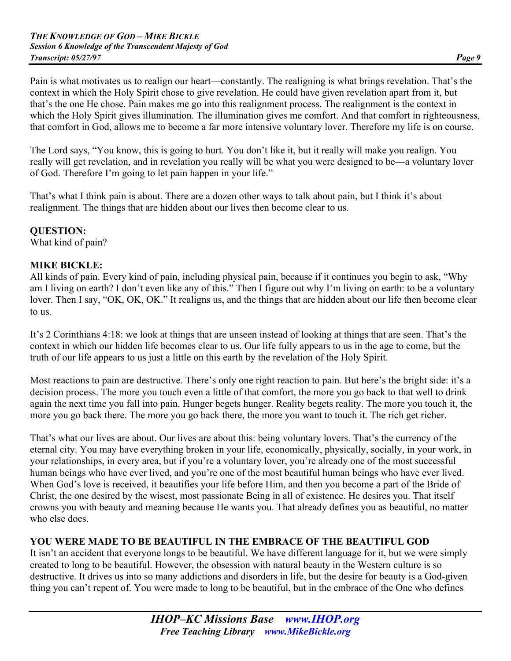Pain is what motivates us to realign our heart—constantly. The realigning is what brings revelation. That's the context in which the Holy Spirit chose to give revelation. He could have given revelation apart from it, but that's the one He chose. Pain makes me go into this realignment process. The realignment is the context in which the Holy Spirit gives illumination. The illumination gives me comfort. And that comfort in righteousness, that comfort in God, allows me to become a far more intensive voluntary lover. Therefore my life is on course.

The Lord says, "You know, this is going to hurt. You don't like it, but it really will make you realign. You really will get revelation, and in revelation you really will be what you were designed to be—a voluntary lover of God. Therefore I'm going to let pain happen in your life."

That's what I think pain is about. There are a dozen other ways to talk about pain, but I think it's about realignment. The things that are hidden about our lives then become clear to us.

#### **QUESTION:**

What kind of pain?

#### **MIKE BICKLE:**

All kinds of pain. Every kind of pain, including physical pain, because if it continues you begin to ask, "Why am I living on earth? I don't even like any of this." Then I figure out why I'm living on earth: to be a voluntary lover. Then I say, "OK, OK, OK." It realigns us, and the things that are hidden about our life then become clear to us.

It's 2 Corinthians 4:18: we look at things that are unseen instead of looking at things that are seen. That's the context in which our hidden life becomes clear to us. Our life fully appears to us in the age to come, but the truth of our life appears to us just a little on this earth by the revelation of the Holy Spirit.

Most reactions to pain are destructive. There's only one right reaction to pain. But here's the bright side: it's a decision process. The more you touch even a little of that comfort, the more you go back to that well to drink again the next time you fall into pain. Hunger begets hunger. Reality begets reality. The more you touch it, the more you go back there. The more you go back there, the more you want to touch it. The rich get richer.

That's what our lives are about. Our lives are about this: being voluntary lovers. That's the currency of the eternal city. You may have everything broken in your life, economically, physically, socially, in your work, in your relationships, in every area, but if you're a voluntary lover, you're already one of the most successful human beings who have ever lived, and you're one of the most beautiful human beings who have ever lived. When God's love is received, it beautifies your life before Him, and then you become a part of the Bride of Christ, the one desired by the wisest, most passionate Being in all of existence. He desires you. That itself crowns you with beauty and meaning because He wants you. That already defines you as beautiful, no matter who else does.

# **YOU WERE MADE TO BE BEAUTIFUL IN THE EMBRACE OF THE BEAUTIFUL GOD**

It isn't an accident that everyone longs to be beautiful. We have different language for it, but we were simply created to long to be beautiful. However, the obsession with natural beauty in the Western culture is so destructive. It drives us into so many addictions and disorders in life, but the desire for beauty is a God-given thing you can't repent of. You were made to long to be beautiful, but in the embrace of the One who defines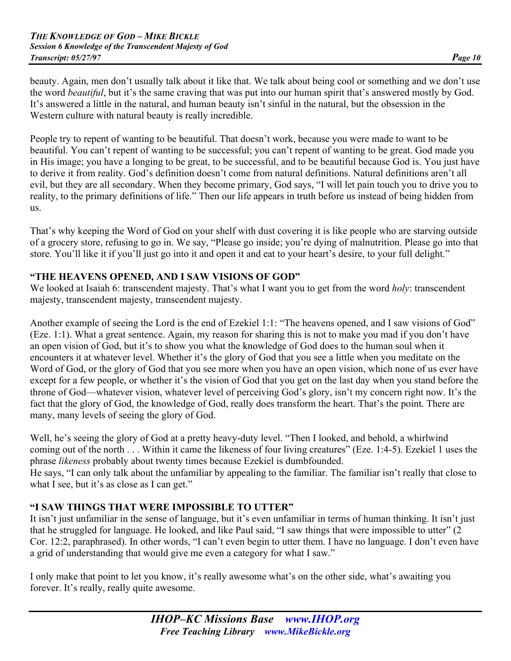beauty. Again, men don't usually talk about it like that. We talk about being cool or something and we don't use the word *beautiful*, but it's the same craving that was put into our human spirit that's answered mostly by God. It's answered a little in the natural, and human beauty isn't sinful in the natural, but the obsession in the Western culture with natural beauty is really incredible.

People try to repent of wanting to be beautiful. That doesn't work, because you were made to want to be beautiful. You can't repent of wanting to be successful; you can't repent of wanting to be great. God made you in His image; you have a longing to be great, to be successful, and to be beautiful because God is. You just have to derive it from reality. God's definition doesn't come from natural definitions. Natural definitions aren't all evil, but they are all secondary. When they become primary, God says, "I will let pain touch you to drive you to reality, to the primary definitions of life." Then our life appears in truth before us instead of being hidden from us.

That's why keeping the Word of God on your shelf with dust covering it is like people who are starving outside of a grocery store, refusing to go in. We say, "Please go inside; you're dying of malnutrition. Please go into that store. You'll like it if you'll just go into it and open it and eat to your heart's desire, to your full delight."

# **"THE HEAVENS OPENED, AND I SAW VISIONS OF GOD"**

We looked at Isaiah 6: transcendent majesty. That's what I want you to get from the word *holy*: transcendent majesty, transcendent majesty, transcendent majesty.

Another example of seeing the Lord is the end of Ezekiel 1:1: "The heavens opened, and I saw visions of God" (Eze. 1:1). What a great sentence. Again, my reason for sharing this is not to make you mad if you don't have an open vision of God, but it's to show you what the knowledge of God does to the human soul when it encounters it at whatever level. Whether it's the glory of God that you see a little when you meditate on the Word of God, or the glory of God that you see more when you have an open vision, which none of us ever have except for a few people, or whether it's the vision of God that you get on the last day when you stand before the throne of God—whatever vision, whatever level of perceiving God's glory, isn't my concern right now. It's the fact that the glory of God, the knowledge of God, really does transform the heart. That's the point. There are many, many levels of seeing the glory of God.

Well, he's seeing the glory of God at a pretty heavy-duty level. "Then I looked, and behold, a whirlwind coming out of the north . . . Within it came the likeness of four living creatures" (Eze. 1:4-5). Ezekiel 1 uses the phrase *likeness* probably about twenty times because Ezekiel is dumbfounded.

He says, "I can only talk about the unfamiliar by appealing to the familiar. The familiar isn't really that close to what I see, but it's as close as I can get."

# **"I SAW THINGS THAT WERE IMPOSSIBLE TO UTTER"**

It isn't just unfamiliar in the sense of language, but it's even unfamiliar in terms of human thinking. It isn't just that he struggled for language. He looked, and like Paul said, "I saw things that were impossible to utter" (2 Cor. 12:2, paraphrased). In other words, "I can't even begin to utter them. I have no language. I don't even have a grid of understanding that would give me even a category for what I saw."

I only make that point to let you know, it's really awesome what's on the other side, what's awaiting you forever. It's really, really quite awesome.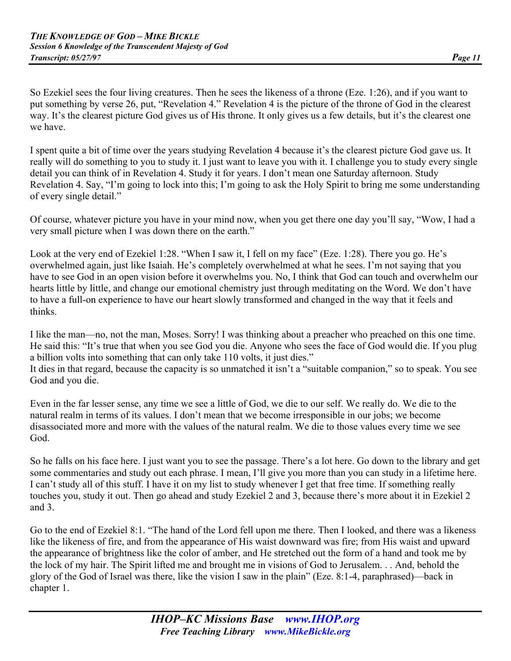So Ezekiel sees the four living creatures. Then he sees the likeness of a throne (Eze. 1:26), and if you want to put something by verse 26, put, "Revelation 4." Revelation 4 is the picture of the throne of God in the clearest way. It's the clearest picture God gives us of His throne. It only gives us a few details, but it's the clearest one we have.

I spent quite a bit of time over the years studying Revelation 4 because it's the clearest picture God gave us. It really will do something to you to study it. I just want to leave you with it. I challenge you to study every single detail you can think of in Revelation 4. Study it for years. I don't mean one Saturday afternoon. Study Revelation 4. Say, "I'm going to lock into this; I'm going to ask the Holy Spirit to bring me some understanding of every single detail."

Of course, whatever picture you have in your mind now, when you get there one day you'll say, "Wow, I had a very small picture when I was down there on the earth."

Look at the very end of Ezekiel 1:28. "When I saw it, I fell on my face" (Eze. 1:28). There you go. He's overwhelmed again, just like Isaiah. He's completely overwhelmed at what he sees. I'm not saying that you have to see God in an open vision before it overwhelms you. No, I think that God can touch and overwhelm our hearts little by little, and change our emotional chemistry just through meditating on the Word. We don't have to have a full-on experience to have our heart slowly transformed and changed in the way that it feels and thinks.

I like the man—no, not the man, Moses. Sorry! I was thinking about a preacher who preached on this one time. He said this: "It's true that when you see God you die. Anyone who sees the face of God would die. If you plug a billion volts into something that can only take 110 volts, it just dies." It dies in that regard, because the capacity is so unmatched it isn't a "suitable companion," so to speak. You see God and you die.

Even in the far lesser sense, any time we see a little of God, we die to our self. We really do. We die to the natural realm in terms of its values. I don't mean that we become irresponsible in our jobs; we become disassociated more and more with the values of the natural realm. We die to those values every time we see God.

So he falls on his face here. I just want you to see the passage. There's a lot here. Go down to the library and get some commentaries and study out each phrase. I mean, I'll give you more than you can study in a lifetime here. I can't study all of this stuff. I have it on my list to study whenever I get that free time. If something really touches you, study it out. Then go ahead and study Ezekiel 2 and 3, because there's more about it in Ezekiel 2 and 3.

Go to the end of Ezekiel 8:1. "The hand of the Lord fell upon me there. Then I looked, and there was a likeness like the likeness of fire, and from the appearance of His waist downward was fire; from His waist and upward the appearance of brightness like the color of amber, and He stretched out the form of a hand and took me by the lock of my hair. The Spirit lifted me and brought me in visions of God to Jerusalem. . . And, behold the glory of the God of Israel was there, like the vision I saw in the plain" (Eze. 8:1-4, paraphrased)—back in chapter 1.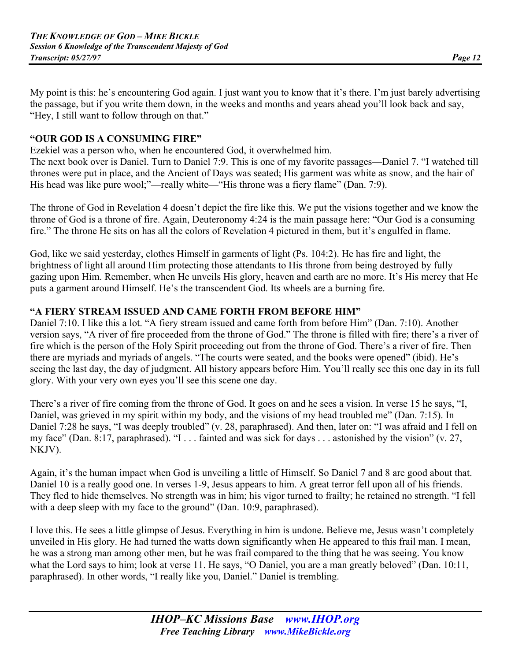My point is this: he's encountering God again. I just want you to know that it's there. I'm just barely advertising the passage, but if you write them down, in the weeks and months and years ahead you'll look back and say, "Hey, I still want to follow through on that."

## **"OUR GOD IS A CONSUMING FIRE"**

Ezekiel was a person who, when he encountered God, it overwhelmed him.

The next book over is Daniel. Turn to Daniel 7:9. This is one of my favorite passages—Daniel 7. "I watched till thrones were put in place, and the Ancient of Days was seated; His garment was white as snow, and the hair of His head was like pure wool;"—really white—"His throne was a fiery flame" (Dan. 7:9).

The throne of God in Revelation 4 doesn't depict the fire like this. We put the visions together and we know the throne of God is a throne of fire. Again, Deuteronomy 4:24 is the main passage here: "Our God is a consuming fire." The throne He sits on has all the colors of Revelation 4 pictured in them, but it's engulfed in flame.

God, like we said yesterday, clothes Himself in garments of light (Ps. 104:2). He has fire and light, the brightness of light all around Him protecting those attendants to His throne from being destroyed by fully gazing upon Him. Remember, when He unveils His glory, heaven and earth are no more. It's His mercy that He puts a garment around Himself. He's the transcendent God. Its wheels are a burning fire.

#### **"A FIERY STREAM ISSUED AND CAME FORTH FROM BEFORE HIM"**

Daniel 7:10. I like this a lot. "A fiery stream issued and came forth from before Him" (Dan. 7:10). Another version says, "A river of fire proceeded from the throne of God." The throne is filled with fire; there's a river of fire which is the person of the Holy Spirit proceeding out from the throne of God. There's a river of fire. Then there are myriads and myriads of angels. "The courts were seated, and the books were opened" (ibid). He's seeing the last day, the day of judgment. All history appears before Him. You'll really see this one day in its full glory. With your very own eyes you'll see this scene one day.

There's a river of fire coming from the throne of God. It goes on and he sees a vision. In verse 15 he says, "I, Daniel, was grieved in my spirit within my body, and the visions of my head troubled me" (Dan. 7:15). In Daniel 7:28 he says, "I was deeply troubled" (v. 28, paraphrased). And then, later on: "I was afraid and I fell on my face" (Dan. 8:17, paraphrased). "I . . . fainted and was sick for days . . . astonished by the vision" (v. 27, NKJV).

Again, it's the human impact when God is unveiling a little of Himself. So Daniel 7 and 8 are good about that. Daniel 10 is a really good one. In verses 1-9, Jesus appears to him. A great terror fell upon all of his friends. They fled to hide themselves. No strength was in him; his vigor turned to frailty; he retained no strength. "I fell with a deep sleep with my face to the ground" (Dan. 10:9, paraphrased).

I love this. He sees a little glimpse of Jesus. Everything in him is undone. Believe me, Jesus wasn't completely unveiled in His glory. He had turned the watts down significantly when He appeared to this frail man. I mean, he was a strong man among other men, but he was frail compared to the thing that he was seeing. You know what the Lord says to him; look at verse 11. He says, "O Daniel, you are a man greatly beloved" (Dan. 10:11, paraphrased). In other words, "I really like you, Daniel." Daniel is trembling.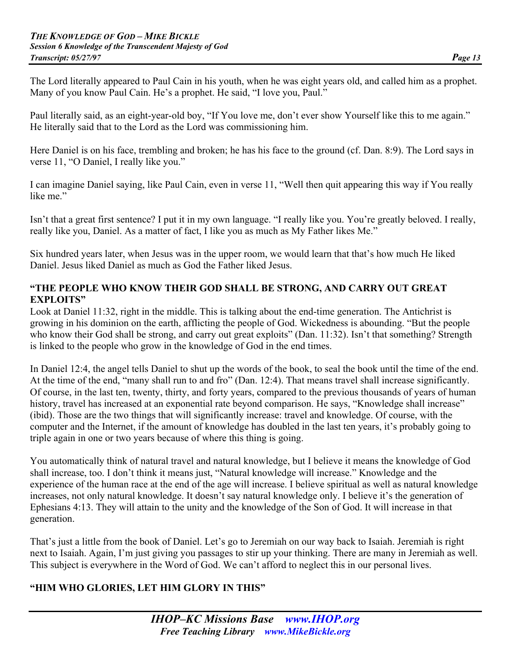The Lord literally appeared to Paul Cain in his youth, when he was eight years old, and called him as a prophet. Many of you know Paul Cain. He's a prophet. He said, "I love you, Paul."

Paul literally said, as an eight-year-old boy, "If You love me, don't ever show Yourself like this to me again." He literally said that to the Lord as the Lord was commissioning him.

Here Daniel is on his face, trembling and broken; he has his face to the ground (cf. Dan. 8:9). The Lord says in verse 11, "O Daniel, I really like you."

I can imagine Daniel saying, like Paul Cain, even in verse 11, "Well then quit appearing this way if You really like me."

Isn't that a great first sentence? I put it in my own language. "I really like you. You're greatly beloved. I really, really like you, Daniel. As a matter of fact, I like you as much as My Father likes Me."

Six hundred years later, when Jesus was in the upper room, we would learn that that's how much He liked Daniel. Jesus liked Daniel as much as God the Father liked Jesus.

#### **"THE PEOPLE WHO KNOW THEIR GOD SHALL BE STRONG, AND CARRY OUT GREAT EXPLOITS"**

Look at Daniel 11:32, right in the middle. This is talking about the end-time generation. The Antichrist is growing in his dominion on the earth, afflicting the people of God. Wickedness is abounding. "But the people who know their God shall be strong, and carry out great exploits" (Dan. 11:32). Isn't that something? Strength is linked to the people who grow in the knowledge of God in the end times.

In Daniel 12:4, the angel tells Daniel to shut up the words of the book, to seal the book until the time of the end. At the time of the end, "many shall run to and fro" (Dan. 12:4). That means travel shall increase significantly. Of course, in the last ten, twenty, thirty, and forty years, compared to the previous thousands of years of human history, travel has increased at an exponential rate beyond comparison. He says, "Knowledge shall increase" (ibid). Those are the two things that will significantly increase: travel and knowledge. Of course, with the computer and the Internet, if the amount of knowledge has doubled in the last ten years, it's probably going to triple again in one or two years because of where this thing is going.

You automatically think of natural travel and natural knowledge, but I believe it means the knowledge of God shall increase, too. I don't think it means just, "Natural knowledge will increase." Knowledge and the experience of the human race at the end of the age will increase. I believe spiritual as well as natural knowledge increases, not only natural knowledge. It doesn't say natural knowledge only. I believe it's the generation of Ephesians 4:13. They will attain to the unity and the knowledge of the Son of God. It will increase in that generation.

That's just a little from the book of Daniel. Let's go to Jeremiah on our way back to Isaiah. Jeremiah is right next to Isaiah. Again, I'm just giving you passages to stir up your thinking. There are many in Jeremiah as well. This subject is everywhere in the Word of God. We can't afford to neglect this in our personal lives.

# **"HIM WHO GLORIES, LET HIM GLORY IN THIS"**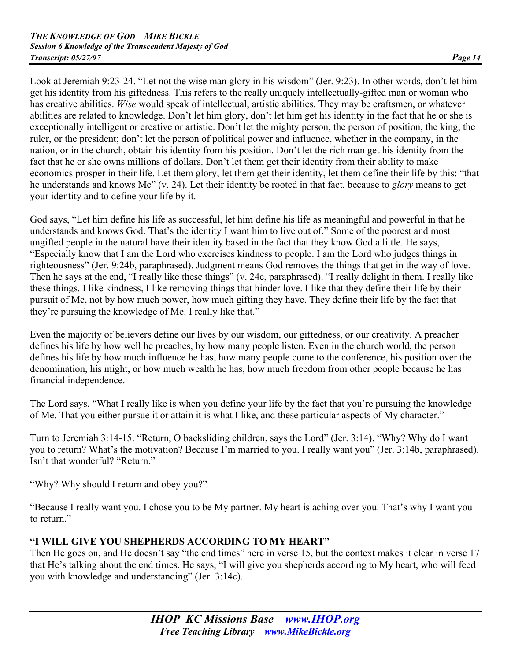Look at Jeremiah 9:23-24. "Let not the wise man glory in his wisdom" (Jer. 9:23). In other words, don't let him get his identity from his giftedness. This refers to the really uniquely intellectually-gifted man or woman who has creative abilities. *Wise* would speak of intellectual, artistic abilities. They may be craftsmen, or whatever abilities are related to knowledge. Don't let him glory, don't let him get his identity in the fact that he or she is exceptionally intelligent or creative or artistic. Don't let the mighty person, the person of position, the king, the ruler, or the president; don't let the person of political power and influence, whether in the company, in the nation, or in the church, obtain his identity from his position. Don't let the rich man get his identity from the fact that he or she owns millions of dollars. Don't let them get their identity from their ability to make economics prosper in their life. Let them glory, let them get their identity, let them define their life by this: "that he understands and knows Me" (v. 24). Let their identity be rooted in that fact, because to *glory* means to get your identity and to define your life by it.

God says, "Let him define his life as successful, let him define his life as meaningful and powerful in that he understands and knows God. That's the identity I want him to live out of." Some of the poorest and most ungifted people in the natural have their identity based in the fact that they know God a little. He says, "Especially know that I am the Lord who exercises kindness to people. I am the Lord who judges things in righteousness" (Jer. 9:24b, paraphrased). Judgment means God removes the things that get in the way of love. Then he says at the end, "I really like these things" (v. 24c, paraphrased). "I really delight in them. I really like these things. I like kindness, I like removing things that hinder love. I like that they define their life by their pursuit of Me, not by how much power, how much gifting they have. They define their life by the fact that they're pursuing the knowledge of Me. I really like that."

Even the majority of believers define our lives by our wisdom, our giftedness, or our creativity. A preacher defines his life by how well he preaches, by how many people listen. Even in the church world, the person defines his life by how much influence he has, how many people come to the conference, his position over the denomination, his might, or how much wealth he has, how much freedom from other people because he has financial independence.

The Lord says, "What I really like is when you define your life by the fact that you're pursuing the knowledge of Me. That you either pursue it or attain it is what I like, and these particular aspects of My character."

Turn to Jeremiah 3:14-15. "Return, O backsliding children, says the Lord" (Jer. 3:14). "Why? Why do I want you to return? What's the motivation? Because I'm married to you. I really want you" (Jer. 3:14b, paraphrased). Isn't that wonderful? "Return."

"Why? Why should I return and obey you?"

"Because I really want you. I chose you to be My partner. My heart is aching over you. That's why I want you to return"

# **"I WILL GIVE YOU SHEPHERDS ACCORDING TO MY HEART"**

Then He goes on, and He doesn't say "the end times" here in verse 15, but the context makes it clear in verse 17 that He's talking about the end times. He says, "I will give you shepherds according to My heart, who will feed you with knowledge and understanding" (Jer. 3:14c).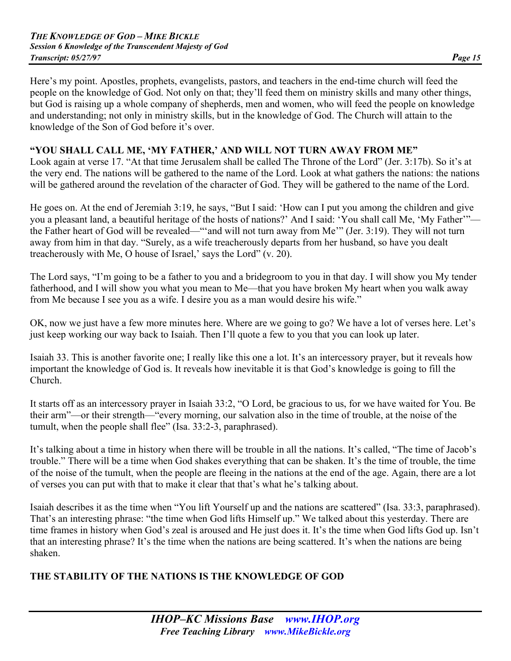Here's my point. Apostles, prophets, evangelists, pastors, and teachers in the end-time church will feed the people on the knowledge of God. Not only on that; they'll feed them on ministry skills and many other things, but God is raising up a whole company of shepherds, men and women, who will feed the people on knowledge and understanding; not only in ministry skills, but in the knowledge of God. The Church will attain to the knowledge of the Son of God before it's over.

#### **"YOU SHALL CALL ME, 'MY FATHER,' AND WILL NOT TURN AWAY FROM ME"**

Look again at verse 17. "At that time Jerusalem shall be called The Throne of the Lord" (Jer. 3:17b). So it's at the very end. The nations will be gathered to the name of the Lord. Look at what gathers the nations: the nations will be gathered around the revelation of the character of God. They will be gathered to the name of the Lord.

He goes on. At the end of Jeremiah 3:19, he says, "But I said: 'How can I put you among the children and give you a pleasant land, a beautiful heritage of the hosts of nations?' And I said: 'You shall call Me, 'My Father'" the Father heart of God will be revealed—"'and will not turn away from Me'" (Jer. 3:19). They will not turn away from him in that day. "Surely, as a wife treacherously departs from her husband, so have you dealt treacherously with Me, O house of Israel,' says the Lord" (v. 20).

The Lord says, "I'm going to be a father to you and a bridegroom to you in that day. I will show you My tender fatherhood, and I will show you what you mean to Me—that you have broken My heart when you walk away from Me because I see you as a wife. I desire you as a man would desire his wife."

OK, now we just have a few more minutes here. Where are we going to go? We have a lot of verses here. Let's just keep working our way back to Isaiah. Then I'll quote a few to you that you can look up later.

Isaiah 33. This is another favorite one; I really like this one a lot. It's an intercessory prayer, but it reveals how important the knowledge of God is. It reveals how inevitable it is that God's knowledge is going to fill the Church.

It starts off as an intercessory prayer in Isaiah 33:2, "O Lord, be gracious to us, for we have waited for You. Be their arm"—or their strength—"every morning, our salvation also in the time of trouble, at the noise of the tumult, when the people shall flee" (Isa. 33:2-3, paraphrased).

It's talking about a time in history when there will be trouble in all the nations. It's called, "The time of Jacob's trouble." There will be a time when God shakes everything that can be shaken. It's the time of trouble, the time of the noise of the tumult, when the people are fleeing in the nations at the end of the age. Again, there are a lot of verses you can put with that to make it clear that that's what he's talking about.

Isaiah describes it as the time when "You lift Yourself up and the nations are scattered" (Isa. 33:3, paraphrased). That's an interesting phrase: "the time when God lifts Himself up." We talked about this yesterday. There are time frames in history when God's zeal is aroused and He just does it. It's the time when God lifts God up. Isn't that an interesting phrase? It's the time when the nations are being scattered. It's when the nations are being shaken.

# **THE STABILITY OF THE NATIONS IS THE KNOWLEDGE OF GOD**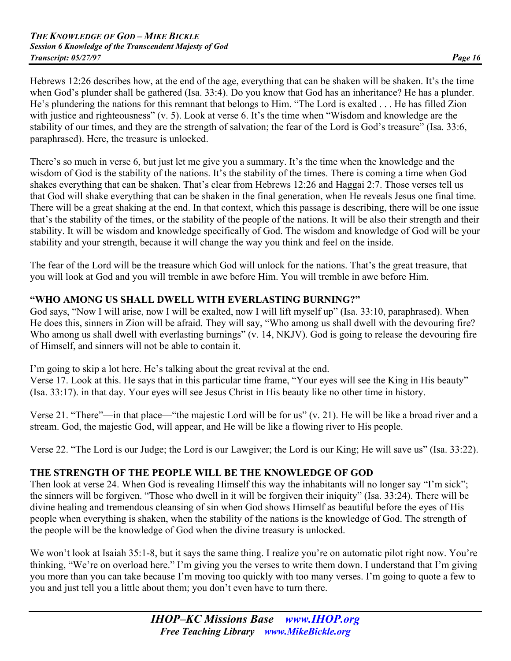Hebrews 12:26 describes how, at the end of the age, everything that can be shaken will be shaken. It's the time when God's plunder shall be gathered (Isa. 33:4). Do you know that God has an inheritance? He has a plunder. He's plundering the nations for this remnant that belongs to Him. "The Lord is exalted . . . He has filled Zion with justice and righteousness" (v. 5). Look at verse 6. It's the time when "Wisdom and knowledge are the stability of our times, and they are the strength of salvation; the fear of the Lord is God's treasure" (Isa. 33:6, paraphrased). Here, the treasure is unlocked.

There's so much in verse 6, but just let me give you a summary. It's the time when the knowledge and the wisdom of God is the stability of the nations. It's the stability of the times. There is coming a time when God shakes everything that can be shaken. That's clear from Hebrews 12:26 and Haggai 2:7. Those verses tell us that God will shake everything that can be shaken in the final generation, when He reveals Jesus one final time. There will be a great shaking at the end. In that context, which this passage is describing, there will be one issue that's the stability of the times, or the stability of the people of the nations. It will be also their strength and their stability. It will be wisdom and knowledge specifically of God. The wisdom and knowledge of God will be your stability and your strength, because it will change the way you think and feel on the inside.

The fear of the Lord will be the treasure which God will unlock for the nations. That's the great treasure, that you will look at God and you will tremble in awe before Him. You will tremble in awe before Him.

# **"WHO AMONG US SHALL DWELL WITH EVERLASTING BURNING?"**

God says, "Now I will arise, now I will be exalted, now I will lift myself up" (Isa. 33:10, paraphrased). When He does this, sinners in Zion will be afraid. They will say, "Who among us shall dwell with the devouring fire? Who among us shall dwell with everlasting burnings" (v. 14, NKJV). God is going to release the devouring fire of Himself, and sinners will not be able to contain it.

I'm going to skip a lot here. He's talking about the great revival at the end. Verse 17. Look at this. He says that in this particular time frame, "Your eyes will see the King in His beauty" (Isa. 33:17). in that day. Your eyes will see Jesus Christ in His beauty like no other time in history.

Verse 21. "There"—in that place—"the majestic Lord will be for us" (v. 21). He will be like a broad river and a stream. God, the majestic God, will appear, and He will be like a flowing river to His people.

Verse 22. "The Lord is our Judge; the Lord is our Lawgiver; the Lord is our King; He will save us" (Isa. 33:22).

# **THE STRENGTH OF THE PEOPLE WILL BE THE KNOWLEDGE OF GOD**

Then look at verse 24. When God is revealing Himself this way the inhabitants will no longer say "I'm sick"; the sinners will be forgiven. "Those who dwell in it will be forgiven their iniquity" (Isa. 33:24). There will be divine healing and tremendous cleansing of sin when God shows Himself as beautiful before the eyes of His people when everything is shaken, when the stability of the nations is the knowledge of God. The strength of the people will be the knowledge of God when the divine treasury is unlocked.

We won't look at Isaiah 35:1-8, but it says the same thing. I realize you're on automatic pilot right now. You're thinking, "We're on overload here." I'm giving you the verses to write them down. I understand that I'm giving you more than you can take because I'm moving too quickly with too many verses. I'm going to quote a few to you and just tell you a little about them; you don't even have to turn there.